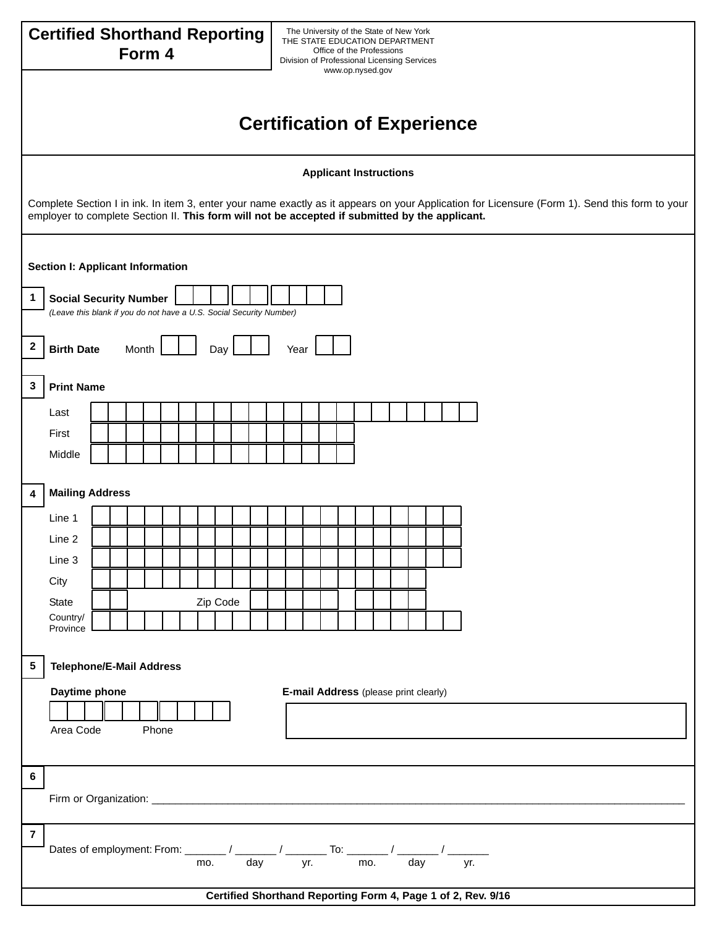| The University of the State of New York<br><b>Certified Shorthand Reporting</b><br>THE STATE EDUCATION DEPARTMENT<br>Form 4<br>Office of the Professions<br>Division of Professional Licensing Services<br>www.op.nysed.gov                      |
|--------------------------------------------------------------------------------------------------------------------------------------------------------------------------------------------------------------------------------------------------|
|                                                                                                                                                                                                                                                  |
| <b>Certification of Experience</b>                                                                                                                                                                                                               |
| <b>Applicant Instructions</b>                                                                                                                                                                                                                    |
| Complete Section I in ink. In item 3, enter your name exactly as it appears on your Application for Licensure (Form 1). Send this form to your<br>employer to complete Section II. This form will not be accepted if submitted by the applicant. |
| Section I: Applicant Information                                                                                                                                                                                                                 |
| <b>Social Security Number</b><br>1<br>(Leave this blank if you do not have a U.S. Social Security Number)                                                                                                                                        |
| $\boldsymbol{2}$<br><b>Birth Date</b><br>Month<br>Day<br>Year                                                                                                                                                                                    |
| $\mathbf{3}$<br><b>Print Name</b>                                                                                                                                                                                                                |
| Last                                                                                                                                                                                                                                             |
| First                                                                                                                                                                                                                                            |
| Middle                                                                                                                                                                                                                                           |
| <b>Mailing Address</b><br>4                                                                                                                                                                                                                      |
| Line 1                                                                                                                                                                                                                                           |
| Line 2                                                                                                                                                                                                                                           |
| Line 3                                                                                                                                                                                                                                           |
| City                                                                                                                                                                                                                                             |
| Zip Code<br>State                                                                                                                                                                                                                                |
| Country/<br>Province                                                                                                                                                                                                                             |
| 5<br><b>Telephone/E-Mail Address</b>                                                                                                                                                                                                             |
| Daytime phone<br>E-mail Address (please print clearly)                                                                                                                                                                                           |
|                                                                                                                                                                                                                                                  |
| Area Code<br>Phone                                                                                                                                                                                                                               |
| $6\phantom{a}$                                                                                                                                                                                                                                   |
|                                                                                                                                                                                                                                                  |
| $\overline{7}$                                                                                                                                                                                                                                   |
| Dates of employment: From: $\frac{1}{\sqrt{1-\frac{1}{n}}}$ / $\frac{1}{\sqrt{1-\frac{1}{n}}}$ To: $\frac{1}{\sqrt{1-\frac{1}{n}}}$ / $\frac{1}{\sqrt{1-\frac{1}{n}}}$ / $\frac{1}{\sqrt{1-\frac{1}{n}}}$                                        |
| Certified Shorthand Reporting Form 4, Page 1 of 2, Rev. 9/16                                                                                                                                                                                     |